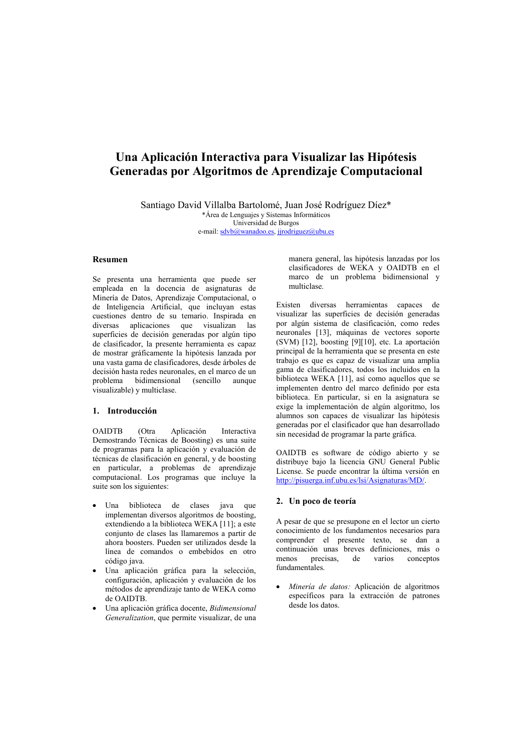# Una Aplicación Interactiva para Visualizar las Hipótesis Generadas por Algoritmos de Aprendizaje Computacional

Santiago David Villalba Bartolomé, Juan José Rodríguez Díez\* \*Área de Lenguajes y Sistemas Informáticos Universidad de Burgos

e-mail: sdvb@wanadoo.es, jjrodriguez@ubu.es

## Resumen

Se presenta una herramienta que puede ser empleada en la docencia de asignaturas de Minería de Datos, Aprendizaje Computacional, o de Inteligencia Artificial, que incluyan estas cuestiones dentro de su temario. Inspirada en diversas aplicaciones que visualizan las superficies de decisión generadas por algún tipo de clasificador, la presente herramienta es capaz de mostrar gráficamente la hipótesis lanzada por una vasta gama de clasificadores, desde árboles de decisión hasta redes neuronales, en el marco de un problema bidimensional (sencillo aunque visualizable) y multiclase.

## 1. Introducción

**OAIDTB**  $(Qtra)$ Aplicación Interactiva Demostrando Técnicas de Boosting) es una suite de programas para la aplicación y evaluación de técnicas de clasificación en general, y de boosting en particular, a problemas de aprendizaje computacional. Los programas que incluye la suite son los siguientes:

- biblioteca de clases java Una que implementan diversos algoritmos de boosting, extendiendo a la biblioteca WEKA [11]; a este conjunto de clases las llamaremos a partir de ahora boosters. Pueden ser utilizados desde la línea de comandos o embebidos en otro código java.
- Una aplicación gráfica para la selección, configuración, aplicación y evaluación de los métodos de aprendizaje tanto de WEKA como de OAIDTB.
- Una aplicación gráfica docente, Bidimensional Generalization, que permite visualizar, de una

manera general, las hipótesis lanzadas por los clasificadores de WEKA y OAIDTB en el marco de un problema bidimensional y multiclase.

Existen diversas herramientas capaces de visualizar las superficies de decisión generadas por algún sistema de clasificación, como redes neuronales [13], máquinas de vectores soporte (SVM) [12], boosting [9][10], etc. La aportación principal de la herramienta que se presenta en este trabajo es que es capaz de visualizar una amplia gama de clasificadores, todos los incluidos en la biblioteca WEKA [11], así como aquellos que se implementen dentro del marco definido por esta biblioteca. En particular, si en la asignatura se exige la implementación de algún algoritmo. los alumnos son capaces de visualizar las hipótesis generadas por el clasificador que han desarrollado sin necesidad de programar la parte gráfica.

OAIDTB es software de código abierto y se distribuye bajo la licencia GNU General Public License. Se puede encontrar la última versión en http://pisuerga.inf.ubu.es/lsi/Asignaturas/MD/.

## 2. Un poco de teoría

A pesar de que se presupone en el lector un cierto conocimiento de los fundamentos necesarios para comprender el presente texto, se dan a continuación unas breves definiciones, más o menos precisas. de varios conceptos fundamentales.

Minería de datos: Aplicación de algoritmos específicos para la extracción de patrones desde los datos.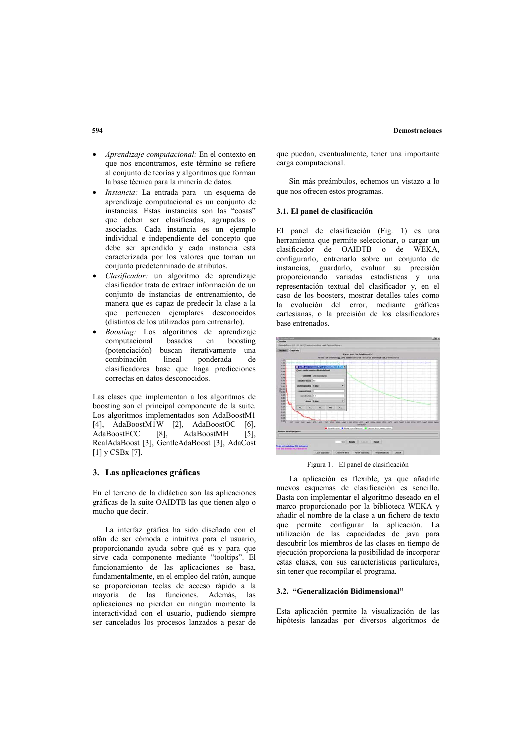#### **Demostraciones**

- Aprendizaje computacional: En el contexto en que nos encontramos, este término se refiere al conjunto de teorías y algoritmos que forman la base técnica para la minería de datos.
- Instancia: La entrada para un esquema de aprendizaje computacional es un conjunto de instancias. Estas instancias son las "cosas" que deben ser clasificadas, agrupadas o asociadas. Cada instancia es un ejemplo individual e independiente del concepto que debe ser aprendido y cada instancia está caracterizada por los valores que toman un conjunto predeterminado de atributos.
- Clasificador: un algoritmo de aprendizaje clasificador trata de extraer información de un conjunto de instancias de entrenamiento, de manera que es capaz de predecir la clase a la que pertenecen ejemplares desconocidos (distintos de los utilizados para entrenarlo).
- Boosting: Los algoritmos de aprendizaje computacional basados  $_{\rm en}$  $h$ nosting (potenciación) buscan iterativamente una combinación lineal ponderada de clasificadores base que haga predicciones correctas en datos desconocidos.

Las clases que implementan a los algoritmos de boosting son el principal componente de la suite. Los algoritmos implementados son AdaBoostM1 [4], AdaBoostM1W [2], AdaBoostOC - 61 AdaBoostECC  $[8]$ AdaBoostMH  $[5]$ RealAdaBoost [3], GentleAdaBoost [3], AdaCost  $[1]$  v CSBx $[7]$ .

## 3. Las aplicaciones gráficas

En el terreno de la didáctica son las aplicaciones gráficas de la suite OAIDTB las que tienen algo o mucho que decir.

La interfaz gráfica ha sido diseñada con el afán de ser cómoda e intuitiva para el usuario, proporcionando ayuda sobre qué es y para que sirve cada componente mediante "tooltips". El funcionamiento de las aplicaciones se basa, fundamentalmente, en el empleo del ratón, aunque se proporcionan teclas de acceso rápido a la mayoría de las funciones. Además, las aplicaciones no pierden en ningún momento la interactividad con el usuario, pudiendo siempre ser cancelados los procesos lanzados a pesar de

que puedan, eventualmente, tener una importante carga computacional.

Sin más preámbulos, echemos un vistazo a lo que nos ofrecen estos programas.

#### 3.1. El nanel de clasificación

El nanel de clasificación (Fig. 1) es una herramienta que permite seleccionar, o cargar un  $classificador$   $de$   $OAIDTB$   $o$   $de$   $WEXA$ configurarlo, entrenarlo sobre un conjunto de instancias, guardarlo, evaluar su precisión proporcionando variadas estadísticas y una representación textual del clasificador y, en el caso de los boosters, mostrar detalles tales como la evolución del error, mediante gráficas cartesianas, o la precisión de los clasificadores base entrenados.



Figura 1. El panel de clasificación

La aplicación es flexible, va que añadirle nuevos esquemas de clasificación es sencillo. Basta con implementar el algoritmo deseado en el marco proporcionado por la biblioteca WEKA y añadir el nombre de la clase a un fichero de texto que permite configurar la aplicación. La utilización de las capacidades de java para descubrir los miembros de las clases en tiempo de ejecución proporciona la posibilidad de incorporar estas clases, con sus características particulares. sin tener que recompilar el programa.

#### 3.2. "Generalización Bidimensional"

Esta aplicación permite la visualización de las hipótesis lanzadas por diversos algoritmos de

## 594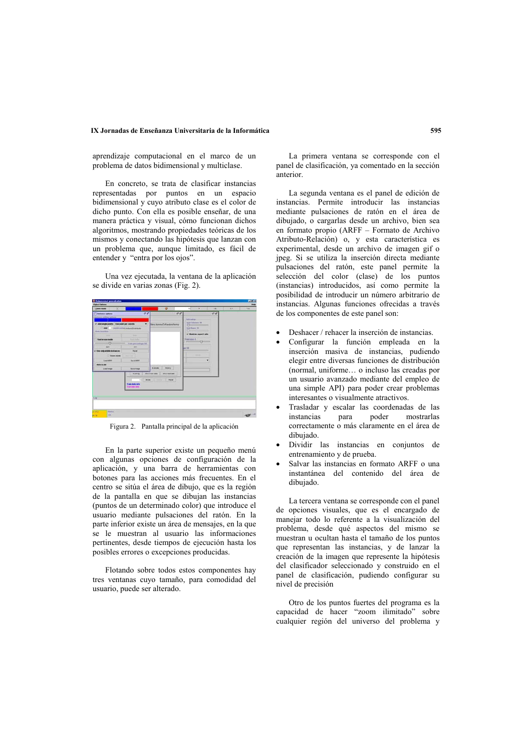## IX Jornadas de Enseñanza Universitaria de la Informática

aprendizaje computacional en el marco de un problema de datos bidimensional y multiclase.

En concreto, se trata de clasificar instancias representadas por puntos en un espacio bidimensional y cuvo atributo clase es el color de dicho punto. Con ella es posible enseñar, de una manera práctica y visual, cómo funcionan dichos algoritmos, mostrando propiedades teóricas de los mismos y conectando las hipótesis que lanzan con un problema que, aunque limitado, es fácil de entender v "entra por los ojos".

Una vez ejecutada, la ventana de la aplicación se divide en varias zonas (Fig. 2).

| Zam moto                                     |                       | ಾ                                           | <b>MARCHER</b>                        | n.    | $\rightarrow$ | my<br>Vd. |
|----------------------------------------------|-----------------------|---------------------------------------------|---------------------------------------|-------|---------------|-----------|
| <b>Instance rations</b>                      | <b>CF BC</b>          | did                                         |                                       | of of |               |           |
| <b>Britance address national</b>             |                       |                                             | <b>Kirki kimia</b> r                  |       |               |           |
| of Add simple points Chur point per counties |                       | T Best Names TollandorsParms                | <b>GH Crhamer 30</b>                  |       |               |           |
| CLAM TESHING HIP CARDINGS BURG               |                       |                                             | <b>Cynin</b><br><b>Eral Forest 95</b> |       |               |           |
| <b>Masks Assambled</b>                       |                       |                                             | <b>CO</b> YOU                         |       |               |           |
| -                                            | <b>START OF</b>       |                                             | - Makian aspect calls                 |       |               |           |
| <b>Fast scass mode</b>                       | <b>STATISTICS</b>     |                                             | Ford that R.                          |       |               |           |
|                                              | <b>Superintendo M</b> |                                             | Q                                     |       |               |           |
| <b>Note</b>                                  | er.                   |                                             | $-9$                                  |       |               |           |
| of filter andy shallon include are           | <b>Band</b>           |                                             |                                       |       |               |           |
| <b>Zinon mode</b>                            | -                     |                                             | <b>STATISTICS</b>                     |       |               |           |
| Lind says                                    | <b>Save ARRY</b>      |                                             | ٠                                     |       |               |           |
| <b>Butter but aller</b>                      |                       |                                             |                                       |       |               |           |
| Link links                                   | <b>Tour finale</b>    | Republic Material                           |                                       |       |               |           |
|                                              | <b>To strong</b>      | <b>Bearing Adv</b><br><b>Mark Sept Ave.</b> |                                       |       |               |           |
|                                              |                       |                                             |                                       |       |               |           |
|                                              | $\sim$                | <b>Ford</b>                                 |                                       |       |               |           |
| Train data kets<br><b>Tast Auto Kits</b>     |                       |                                             |                                       |       |               |           |
|                                              |                       |                                             |                                       |       |               |           |
|                                              |                       |                                             |                                       |       |               |           |
| <b>Line</b>                                  |                       |                                             |                                       |       |               |           |
|                                              |                       |                                             |                                       |       |               |           |
|                                              |                       |                                             |                                       |       |               |           |
| $-112$<br><b>Mature</b>                      |                       |                                             |                                       |       |               |           |
| $\sim$<br><b>ALCOHOL:</b>                    |                       |                                             |                                       |       |               | 435 - 1   |

Figura 2. Pantalla principal de la aplicación

En la parte superior existe un pequeño menú con algunas opciones de configuración de la aplicación, y una barra de herramientas con botones para las acciones más frecuentes. En el centro se sitúa el área de dibujo, que es la región de la pantalla en que se dibujan las instancias (puntos de un determinado color) que introduce el usuario mediante pulsaciones del ratón. En la parte inferior existe un área de mensajes, en la que se le muestran al usuario las informaciones pertinentes, desde tiempos de ejecución hasta los posibles errores o excepciones producidas.

Flotando sobre todos estos componentes hay tres ventanas cuyo tamaño, para comodidad del usuario, puede ser alterado.

La primera ventana se corresponde con el panel de clasificación, va comentado en la sección anterior

La segunda ventana es el panel de edición de instancias. Permite introducir las instancias mediante pulsaciones de ratón en el área de dibuiado. o cargarlas desde un archivo, bien sea en formato propio (ARFF - Formato de Archivo Atributo-Relación) o, y esta característica es experimental, desde un archivo de imagen gif o ipeg. Si se utiliza la inserción directa mediante pulsaciones del ratón, este panel permite la selección del color (clase) de los puntos (instancias) introducidos, así como permite la posibilidad de introducir un número arbitrario de instancias. Algunas funciones ofrecidas a través de los componentes de este panel son:

- $\bullet$  Deshacer / rehacer la inserción de instancias.
- Configurar la función empleada en la inserción masiva de instancias, pudiendo elegir entre diversas funciones de distribución (normal, uniforme... o incluso las creadas por un usuario avanzado mediante del empleo de una simple API) para poder crear problemas interesantes o visualmente atractivos.
- Trasladar y escalar las coordenadas de las poder instancias para mostrarlas correctamente o más claramente en el área de dibuiado.
- Dividir las instancias en conjuntos de entrenamiento y de prueba.
- Salvar las instancias en formato ARFF o una instantánea del contenido del área de dibujado.

La tercera ventana se corresponde con el panel de opciones visuales, que es el encargado de manejar todo lo referente a la visualización del problema, desde qué aspectos del mismo se muestran u ocultan hasta el tamaño de los puntos que representan las instancias, y de lanzar la creación de la imagen que represente la hipótesis del clasificador seleccionado y construido en el panel de clasificación, pudiendo configurar su nivel de precisión

Otro de los puntos fuertes del programa es la capacidad de hacer "zoom ilimitado" sobre cualquier región del universo del problema y